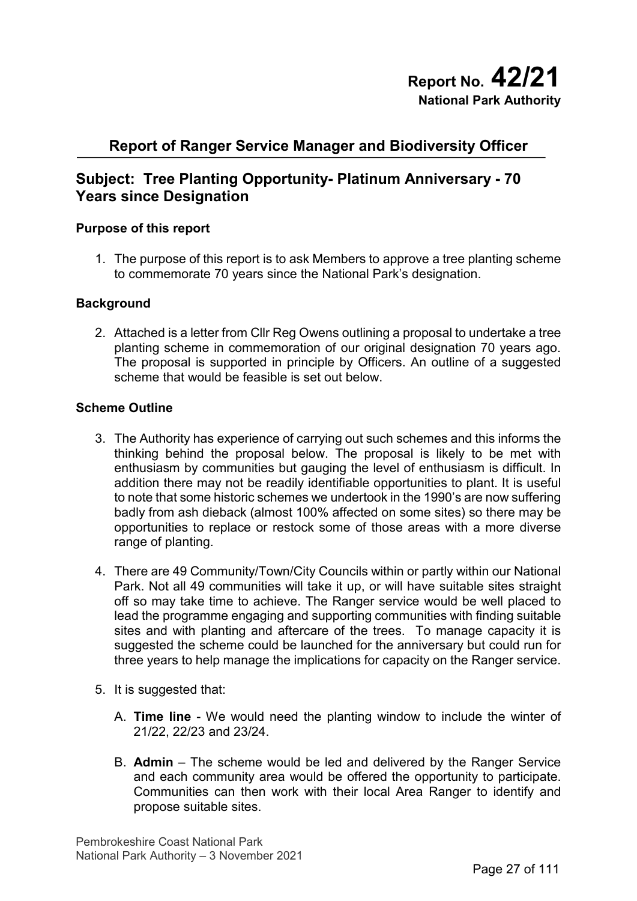# **Report of Ranger Service Manager and Biodiversity Officer**

# **Subject: Tree Planting Opportunity- Platinum Anniversary - 70 Years since Designation**

### **Purpose of this report**

1. The purpose of this report is to ask Members to approve a tree planting scheme to commemorate 70 years since the National Park's designation.

#### **Background**

2. Attached is a letter from Cllr Reg Owens outlining a proposal to undertake a tree planting scheme in commemoration of our original designation 70 years ago. The proposal is supported in principle by Officers. An outline of a suggested scheme that would be feasible is set out below.

#### **Scheme Outline**

- 3. The Authority has experience of carrying out such schemes and this informs the thinking behind the proposal below. The proposal is likely to be met with enthusiasm by communities but gauging the level of enthusiasm is difficult. In addition there may not be readily identifiable opportunities to plant. It is useful to note that some historic schemes we undertook in the 1990's are now suffering badly from ash dieback (almost 100% affected on some sites) so there may be opportunities to replace or restock some of those areas with a more diverse range of planting.
- 4. There are 49 Community/Town/City Councils within or partly within our National Park. Not all 49 communities will take it up, or will have suitable sites straight off so may take time to achieve. The Ranger service would be well placed to lead the programme engaging and supporting communities with finding suitable sites and with planting and aftercare of the trees. To manage capacity it is suggested the scheme could be launched for the anniversary but could run for three years to help manage the implications for capacity on the Ranger service.
- 5. It is suggested that:
	- A. **Time line** We would need the planting window to include the winter of 21/22, 22/23 and 23/24.
	- B. **Admin** The scheme would be led and delivered by the Ranger Service and each community area would be offered the opportunity to participate. Communities can then work with their local Area Ranger to identify and propose suitable sites.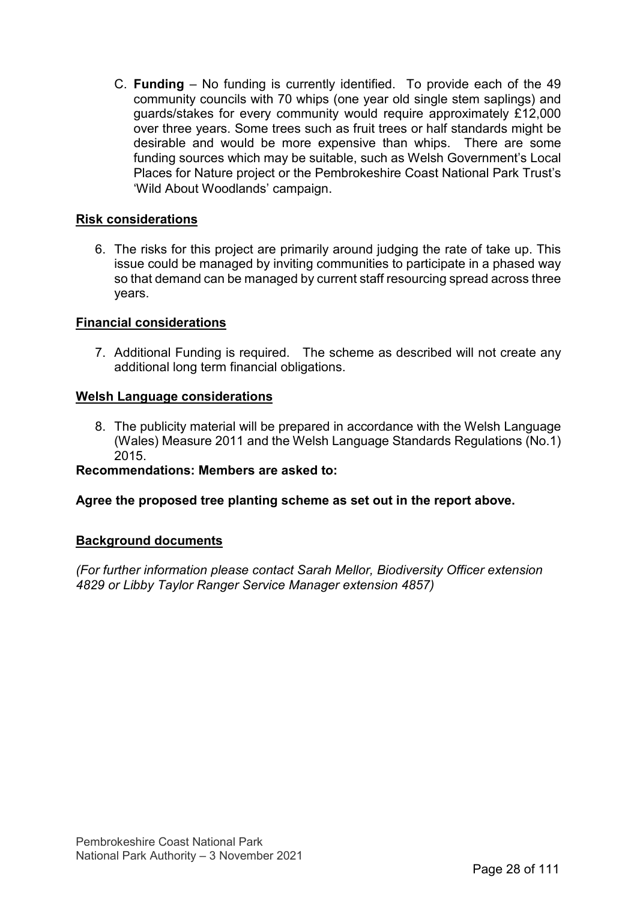C. **Funding** – No funding is currently identified. To provide each of the 49 community councils with 70 whips (one year old single stem saplings) and guards/stakes for every community would require approximately £12,000 over three years. Some trees such as fruit trees or half standards might be desirable and would be more expensive than whips. There are some funding sources which may be suitable, such as Welsh Government's Local Places for Nature project or the Pembrokeshire Coast National Park Trust's 'Wild About Woodlands' campaign.

## **Risk considerations**

6. The risks for this project are primarily around judging the rate of take up. This issue could be managed by inviting communities to participate in a phased way so that demand can be managed by current staff resourcing spread across three years.

### **Financial considerations**

7. Additional Funding is required. The scheme as described will not create any additional long term financial obligations.

### **Welsh Language considerations**

8. The publicity material will be prepared in accordance with the Welsh Language (Wales) Measure 2011 and the Welsh Language Standards Regulations (No.1) 2015.

### **Recommendations: Members are asked to:**

### **Agree the proposed tree planting scheme as set out in the report above.**

### **Background documents**

*(For further information please contact Sarah Mellor, Biodiversity Officer extension 4829 or Libby Taylor Ranger Service Manager extension 4857)*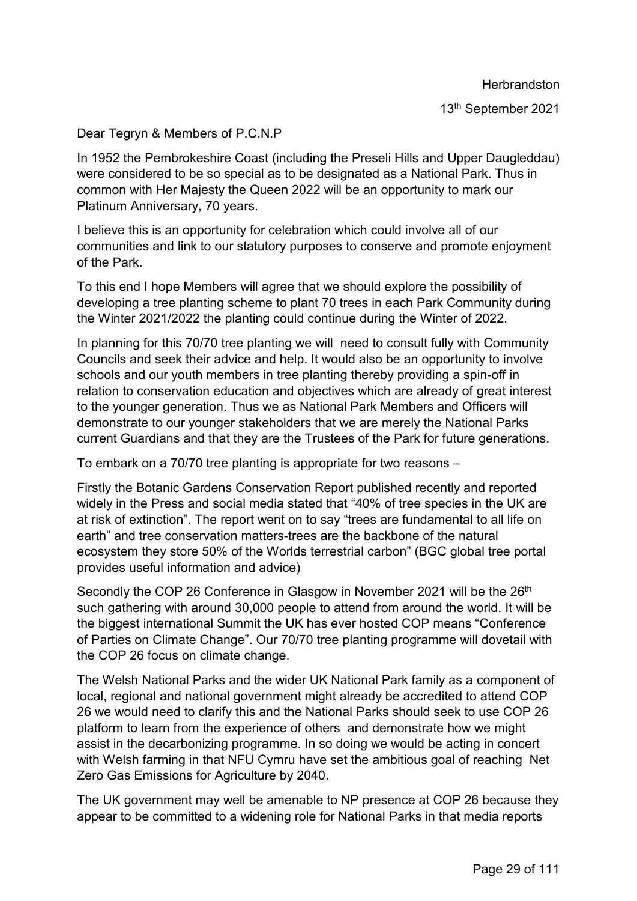**Herbrandston** 

13th September 2021

## Dear Tegryn & Members of P.C.N.P

In 1952 the Pembrokeshire Coast (including the Preseli Hills and Upper Daugleddau) were considered to be so special as to be designated as a National Park. Thus in common with Her Majesty the Queen 2022 will be an opportunity to mark our Platinum Anniversary, 70 years.

I believe this is an opportunity for celebration which could involve all of our communities and link to our statutory purposes to conserve and promote enjoyment of the Park.

To this end I hope Members will agree that we should explore the possibility of developing a tree planting scheme to plant 70 trees in each Park Community during the Winter 2021/2022 the planting could continue during the Winter of 2022.

In planning for this 70/70 tree planting we will need to consult fully with Community Councils and seek their advice and help. It would also be an opportunity to involve schools and our youth members in tree planting thereby providing a spin-off in relation to conservation education and objectives which are already of great interest to the younger generation. Thus we as National Park Members and Officers will demonstrate to our younger stakeholders that we are merely the National Parks current Guardians and that they are the Trustees of the Park for future generations.

To embark on a 70/70 tree planting is appropriate for two reasons –

Firstly the Botanic Gardens Conservation Report published recently and reported widely in the Press and social media stated that "40% of tree species in the UK are at risk of extinction". The report went on to say "trees are fundamental to all life on earth" and tree conservation matters-trees are the backbone of the natural ecosystem they store 50% of the Worlds terrestrial carbon" (BGC global tree portal provides useful information and advice)

Secondly the COP 26 Conference in Glasgow in November 2021 will be the 26<sup>th</sup> such gathering with around 30,000 people to attend from around the world. It will be the biggest international Summit the UK has ever hosted COP means "Conference of Parties on Climate Change". Our 70/70 tree planting programme will dovetail with the COP 26 focus on climate change.

The Welsh National Parks and the wider UK National Park family as a component of local, regional and national government might already be accredited to attend COP 26 we would need to clarify this and the National Parks should seek to use COP 26 platform to learn from the experience of others and demonstrate how we might assist in the decarbonizing programme. In so doing we would be acting in concert with Welsh farming in that NFU Cymru have set the ambitious goal of reaching Net Zero Gas Emissions for Agriculture by 2040.

The UK government may well be amenable to NP presence at COP 26 because they appear to be committed to a widening role for National Parks in that media reports